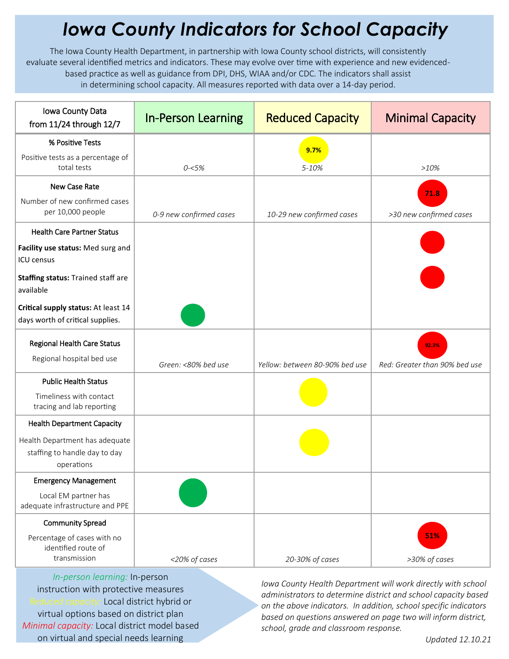## *Iowa County Indicators for School Capacity*

The Iowa County Health Department, in partnership with Iowa County school districts, will consistently evaluate several identified metrics and indicators. These may evolve over time with experience and new evidencedbased practice as well as guidance from DPI, DHS, WIAA and/or CDC. The indicators shall assist in determining school capacity. All measures reported with data over a 14-day period.

| Iowa County Data<br>from 11/24 through 12/7                                         | <b>In-Person Learning</b> | <b>Reduced Capacity</b>        | <b>Minimal Capacity</b>                |
|-------------------------------------------------------------------------------------|---------------------------|--------------------------------|----------------------------------------|
| % Positive Tests                                                                    |                           | 9.7%                           |                                        |
| Positive tests as a percentage of<br>total tests                                    | $0 - 5%$                  | 5-10%                          | >10%                                   |
| New Case Rate                                                                       |                           |                                | 71.8                                   |
| Number of new confirmed cases<br>per 10,000 people                                  | 0-9 new confirmed cases   | 10-29 new confirmed cases      | >30 new confirmed cases                |
| <b>Health Care Partner Status</b>                                                   |                           |                                |                                        |
| Facility use status: Med surg and<br>ICU census                                     |                           |                                |                                        |
| Staffing status: Trained staff are<br>available                                     |                           |                                |                                        |
| Critical supply status: At least 14<br>days worth of critical supplies.             |                           |                                |                                        |
| Regional Health Care Status<br>Regional hospital bed use                            | Green: <80% bed use       | Yellow: between 80-90% bed use | 92.3%<br>Red: Greater than 90% bed use |
| <b>Public Health Status</b><br>Timeliness with contact<br>tracing and lab reporting |                           |                                |                                        |
| <b>Health Department Capacity</b>                                                   |                           |                                |                                        |
| Health Department has adequate<br>staffing to handle day to day<br>operations       |                           |                                |                                        |
| <b>Emergency Management</b>                                                         |                           |                                |                                        |
| Local EM partner has<br>adequate infrastructure and PPE                             |                           |                                |                                        |
| <b>Community Spread</b>                                                             |                           |                                |                                        |
| Percentage of cases with no<br>identified route of<br>transmission                  | <20% of cases             | 20-30% of cases                | 51%<br>>30% of cases                   |

*In-person learning:* In-person instruction with protective measures *Reduced capacity:* Local district hybrid or virtual options based on district plan *Minimal capacity:* Local district model based on virtual and special needs learning

*Iowa County Health Department will work directly with school administrators to determine district and school capacity based on the above indicators. In addition, school specific indicators based on questions answered on page two will inform district, school, grade and classroom response.*